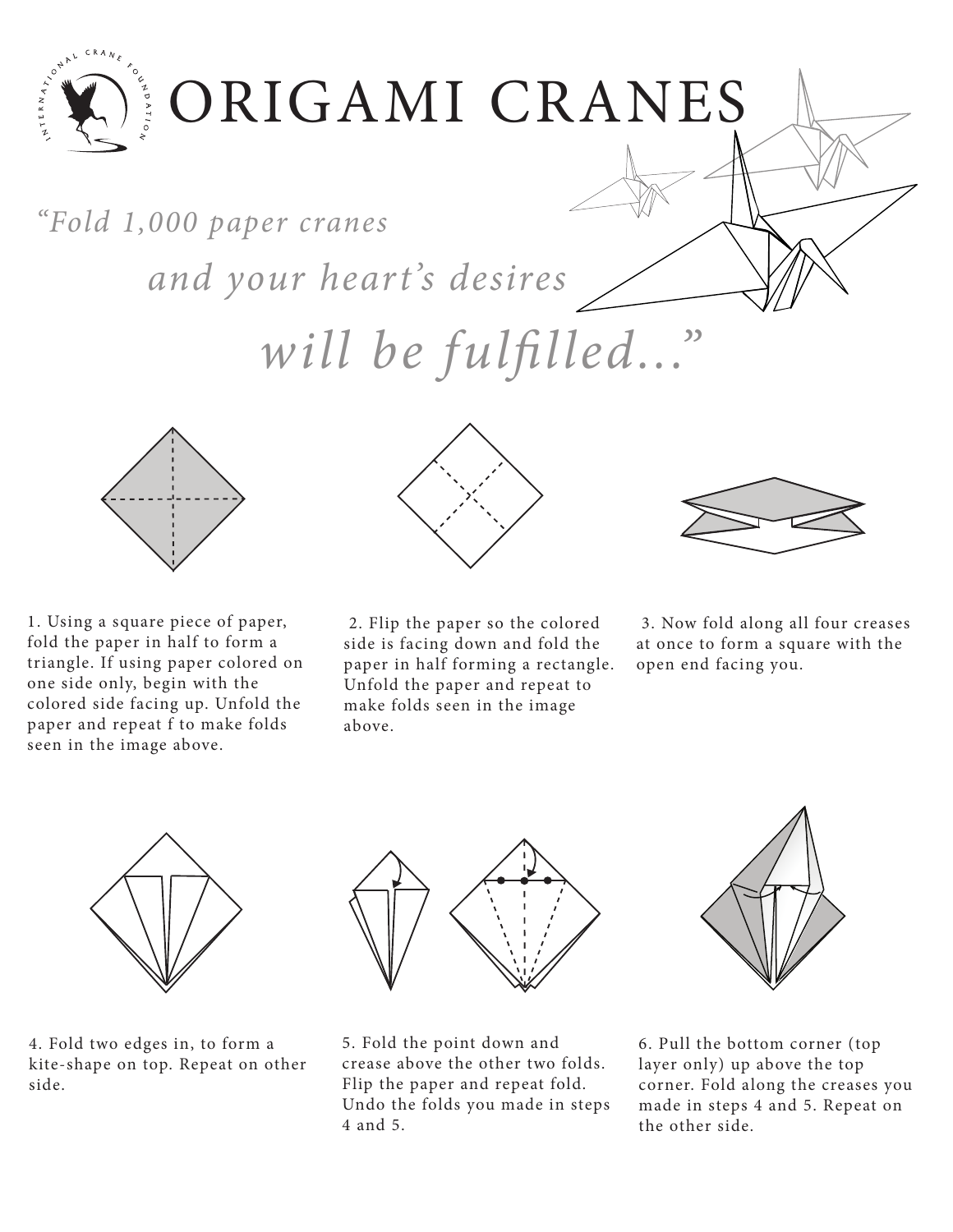

"Fold 1,000 paper cranes

and your heart's desires

will be fulfilled...



1. Using a square piece of paper, fold the paper in half to form a triangle. If using paper colored on one side only, begin with the colored side facing up. Unfold the paper and repeat f to make folds seen in the image above.



 2. Flip the paper so the colored side is facing down and fold the paper in half forming a rectangle. Unfold the paper and repeat to make folds seen in the image above.



 3. Now fold along all four creases at once to form a square with the open end facing you.



4. Fold two edges in, to form a kite-shape on top. Repeat on other side.



5. Fold the point down and crease above the other two folds. Flip the paper and repeat fold. Undo the folds you made in steps 4 and 5.



6. Pull the bottom corner (top layer only) up above the top corner. Fold along the creases you made in steps 4 and 5. Repeat on the other side.